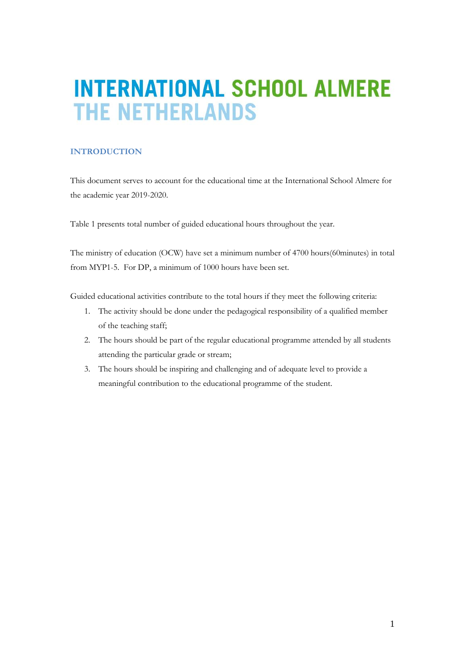# **INTERNATIONAL SCHOOL ALMERE THE NETHERLANDS**

## **INTRODUCTION**

This document serves to account for the educational time at the International School Almere for the academic year 2019-2020.

Table 1 presents total number of guided educational hours throughout the year.

The ministry of education (OCW) have set a minimum number of 4700 hours(60minutes) in total from MYP1-5. For DP, a minimum of 1000 hours have been set.

Guided educational activities contribute to the total hours if they meet the following criteria:

- 1. The activity should be done under the pedagogical responsibility of a qualified member of the teaching staff;
- 2. The hours should be part of the regular educational programme attended by all students attending the particular grade or stream;
- 3. The hours should be inspiring and challenging and of adequate level to provide a meaningful contribution to the educational programme of the student.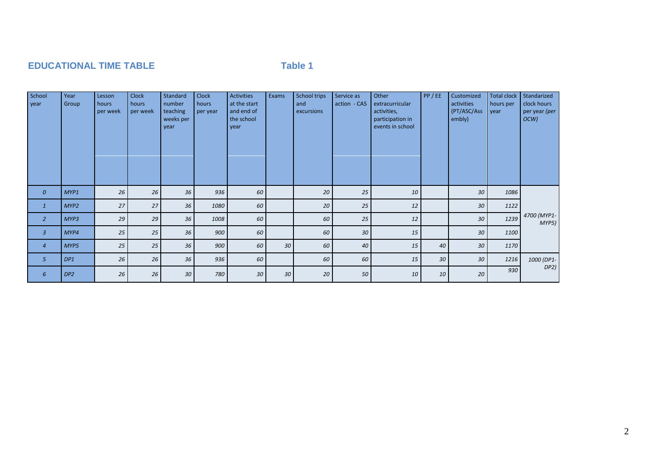# **EDUCATIONAL TIME TABLE TABLE TABLE TABLE**

| School<br>year   | Year<br>Group   | Lesson<br>hours<br>per week | <b>Clock</b><br>hours<br>per week | Standard<br>number<br>teaching<br>weeks per<br>year | <b>Clock</b><br>hours<br>per year | <b>Activities</b><br>at the start<br>and end of<br>the school<br>year | Exams | <b>School trips</b><br>and<br>excursions | Service as<br>action - CAS | Other<br>extracurricular<br>activities,<br>participation in<br>events in school | PP/EE | Customized<br>activities<br>(PT/ASC/Ass<br>embly) | <b>Total clock</b><br>hours per<br>year | Standarized<br>clock hours<br>per year (per<br>OCW) |
|------------------|-----------------|-----------------------------|-----------------------------------|-----------------------------------------------------|-----------------------------------|-----------------------------------------------------------------------|-------|------------------------------------------|----------------------------|---------------------------------------------------------------------------------|-------|---------------------------------------------------|-----------------------------------------|-----------------------------------------------------|
| $\boldsymbol{0}$ | MYP1            | 26                          | 26                                | 36                                                  | 936                               | 60                                                                    |       | 20                                       | 25                         | 10                                                                              |       | 30                                                | 1086                                    |                                                     |
| $\mathbf{1}$     | MYP2            | 27                          | 27                                | 36                                                  | 1080                              | 60                                                                    |       | 20                                       | 25                         | 12                                                                              |       | 30                                                | 1122                                    |                                                     |
| $\overline{2}$   | MYP3            | 29                          | 29                                | 36'                                                 | 1008                              | 60                                                                    |       | 60                                       | 25                         | 12                                                                              |       | 30                                                | 1239                                    | 4700 (MYP1-<br>MYP5)                                |
| $\mathbf{3}$     | MYP4            | 25                          | 25                                | 36                                                  | 900                               | 60                                                                    |       | 60                                       | 30                         | 15                                                                              |       | 30                                                | 1100                                    |                                                     |
| $\overline{4}$   | MYP5            | 25                          | 25                                | 36                                                  | 900                               | 60                                                                    | 30    | 60                                       | 40                         | 15                                                                              | 40    | 30                                                | 1170                                    |                                                     |
| 5                | DP1             | 26                          | 26                                | 36                                                  | 936                               | 60                                                                    |       | 60                                       | 60                         | 15                                                                              | 30    | 30                                                | 1216                                    | 1000 (DP1-                                          |
| 6                | DP <sub>2</sub> | 26                          | 26                                | 30                                                  | 780                               | 30                                                                    | 30    | 20                                       | 50                         | 10                                                                              | 10    | 20                                                | 930                                     | DP2)                                                |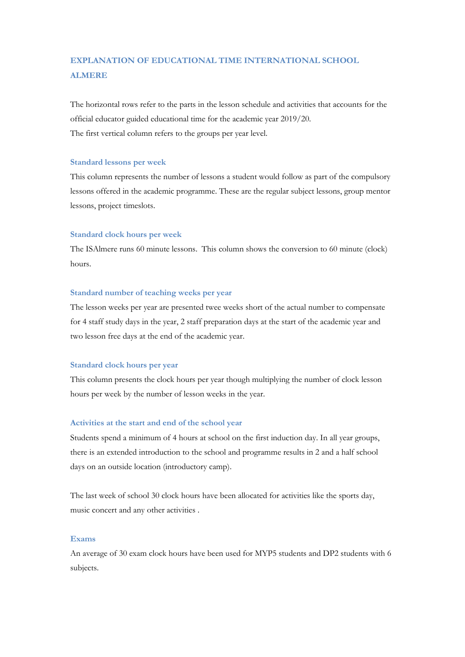# **EXPLANATION OF EDUCATIONAL TIME INTERNATIONAL SCHOOL ALMERE**

The horizontal rows refer to the parts in the lesson schedule and activities that accounts for the official educator guided educational time for the academic year 2019/20. The first vertical column refers to the groups per year level.

#### **Standard lessons per week**

This column represents the number of lessons a student would follow as part of the compulsory lessons offered in the academic programme. These are the regular subject lessons, group mentor lessons, project timeslots.

#### **Standard clock hours per week**

The ISAlmere runs 60 minute lessons. This column shows the conversion to 60 minute (clock) hours.

#### **Standard number of teaching weeks per year**

The lesson weeks per year are presented twee weeks short of the actual number to compensate for 4 staff study days in the year, 2 staff preparation days at the start of the academic year and two lesson free days at the end of the academic year.

#### **Standard clock hours per year**

This column presents the clock hours per year though multiplying the number of clock lesson hours per week by the number of lesson weeks in the year.

#### **Activities at the start and end of the school year**

Students spend a minimum of 4 hours at school on the first induction day. In all year groups, there is an extended introduction to the school and programme results in 2 and a half school days on an outside location (introductory camp).

The last week of school 30 clock hours have been allocated for activities like the sports day, music concert and any other activities .

#### **Exams**

An average of 30 exam clock hours have been used for MYP5 students and DP2 students with 6 subjects.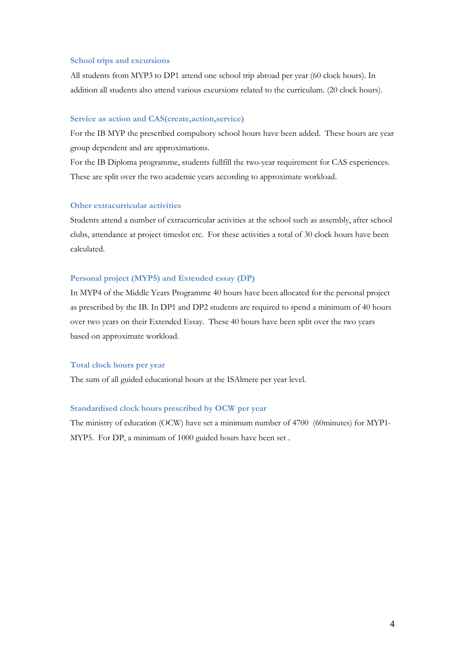#### **School trips and excursions**

All students from MYP3 to DP1 attend one school trip abroad per year (60 clock hours). In addition all students also attend various excursions related to the curriculum. (20 clock hours).

### **Service as action and CAS(create,action,service)**

For the IB MYP the prescribed compulsory school hours have been added. These hours are year group dependent and are approximations.

For the IB Diploma programme, students fullfill the two-year requirement for CAS experiences. These are split over the two academic years according to approximate workload.

#### **Other extracurricular activities**

Students attend a number of extracurricular activities at the school such as assembly, after school clubs, attendance at project timeslot etc. For these activities a total of 30 clock hours have been calculated.

### **Personal project (MYP5) and Extended essay (DP)**

In MYP4 of the Middle Years Programme 40 hours have been allocated for the personal project as prescribed by the IB. In DP1 and DP2 students are required to spend a minimum of 40 hours over two years on their Extended Essay. These 40 hours have been split over the two years based on approximate workload.

### **Total clock hours per year**

The sum of all guided educational hours at the ISAlmere per year level.

#### **Standardised clock hours prescribed by OCW per year**

The ministry of education (OCW) have set a minimum number of 4700 (60minutes) for MYP1- MYP5. For DP, a minimum of 1000 guided hours have been set .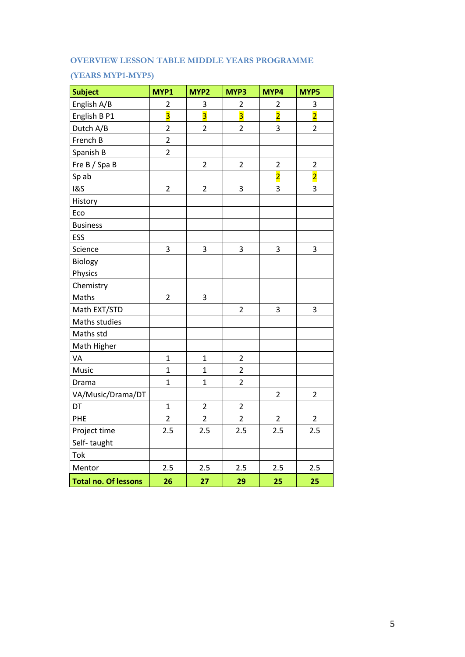# **OVERVIEW LESSON TABLE MIDDLE YEARS PROGRAMME**

# **(YEARS MYP1-MYP5)**

| <b>Subject</b>              | MYP1                    | MYP2                    | MYP3                    | MYP4                    | MYP5                    |
|-----------------------------|-------------------------|-------------------------|-------------------------|-------------------------|-------------------------|
| English A/B                 | $\overline{2}$          | 3                       | $\overline{c}$          | 2                       | 3                       |
| English B P1                | $\overline{\mathbf{3}}$ | $\overline{\mathbf{3}}$ | $\overline{\mathbf{3}}$ | $\overline{2}$          | $\overline{2}$          |
| Dutch A/B                   | $\overline{c}$          | $\overline{2}$          | $\overline{2}$          | 3                       | $\overline{2}$          |
| French B                    | $\overline{2}$          |                         |                         |                         |                         |
| Spanish B                   | $\overline{2}$          |                         |                         |                         |                         |
| Fre B / Spa B               |                         | $\overline{2}$          | $\overline{2}$          | $\overline{\mathbf{c}}$ | $\overline{\mathbf{c}}$ |
| Sp ab                       |                         |                         |                         | $\overline{\mathbf{2}}$ | $\overline{\mathbf{2}}$ |
| <b>1&amp;S</b>              | $\overline{2}$          | $\overline{2}$          | $\overline{\mathbf{3}}$ | 3                       | 3                       |
| History                     |                         |                         |                         |                         |                         |
| Eco                         |                         |                         |                         |                         |                         |
| <b>Business</b>             |                         |                         |                         |                         |                         |
| ESS                         |                         |                         |                         |                         |                         |
| Science                     | 3                       | 3                       | 3                       | 3                       | 3                       |
| Biology                     |                         |                         |                         |                         |                         |
| Physics                     |                         |                         |                         |                         |                         |
| Chemistry                   |                         |                         |                         |                         |                         |
| Maths                       | $\overline{2}$          | 3                       |                         |                         |                         |
| Math EXT/STD                |                         |                         | $\overline{2}$          | 3                       | 3                       |
| Maths studies               |                         |                         |                         |                         |                         |
| Maths std                   |                         |                         |                         |                         |                         |
| Math Higher                 |                         |                         |                         |                         |                         |
| VA                          | $\mathbf{1}$            | $\overline{1}$          | $\overline{2}$          |                         |                         |
| Music                       | $\mathbf{1}$            | $\mathbf{1}$            | $\overline{2}$          |                         |                         |
| Drama                       | $\mathbf{1}$            | $\mathbf{1}$            | $\overline{2}$          |                         |                         |
| VA/Music/Drama/DT           |                         |                         |                         | $\overline{2}$          | $\overline{2}$          |
| DT                          | $\mathbf{1}$            | $\overline{2}$          | $\overline{2}$          |                         |                         |
| PHE                         | $\overline{2}$          | $\overline{2}$          | $\overline{2}$          | $\overline{2}$          | $\overline{2}$          |
| Project time                | 2.5                     | 2.5                     | 2.5                     | 2.5                     | 2.5                     |
| Self-taught                 |                         |                         |                         |                         |                         |
| Tok                         |                         |                         |                         |                         |                         |
| Mentor                      | 2.5                     | 2.5                     | 2.5                     | 2.5                     | 2.5                     |
| <b>Total no. Of lessons</b> | 26                      | 27                      | 29                      | 25                      | 25                      |